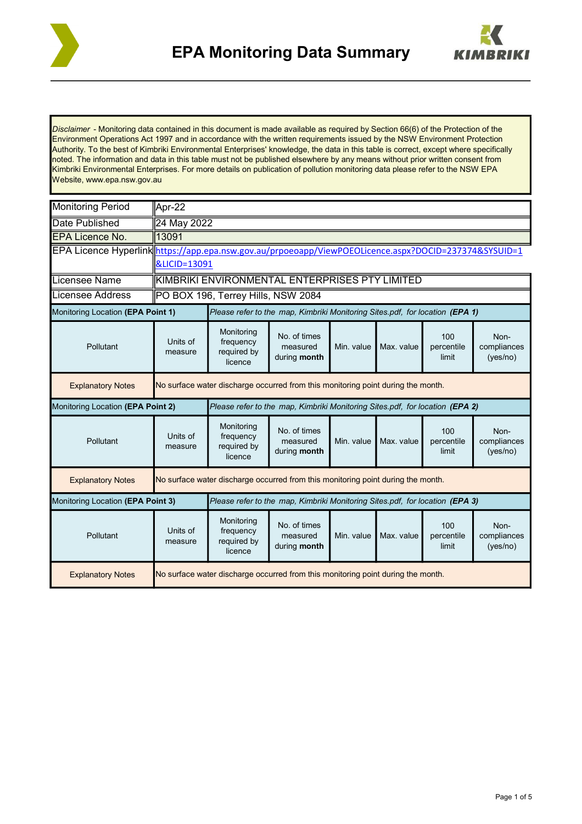



*Disclaimer* - Monitoring data contained in this document is made available as required by Section 66(6) of the Protection of the Environment Operations Act 1997 and in accordance with the written requirements issued by the NSW Environment Protection Authority. To the best of Kimbriki Environmental Enterprises' knowledge, the data in this table is correct, except where specifically noted. The information and data in this table must not be published elsewhere by any means without prior written consent from Kimbriki Environmental Enterprises. For more details on publication of pollution monitoring data please refer to the NSW EPA Website, www.epa.nsw.gov.au

| <b>Monitoring Period</b>          | Apr-22                                                                                                |                                                   |                                          |            |            |                            |                                 |  |  |  |
|-----------------------------------|-------------------------------------------------------------------------------------------------------|---------------------------------------------------|------------------------------------------|------------|------------|----------------------------|---------------------------------|--|--|--|
| Date Published                    | 24 May 2022                                                                                           |                                                   |                                          |            |            |                            |                                 |  |  |  |
| <b>EPA Licence No.</b>            | 13091                                                                                                 |                                                   |                                          |            |            |                            |                                 |  |  |  |
|                                   | EPA Licence Hyperlink https://app.epa.nsw.gov.au/prpoeoapp/ViewPOEOLicence.aspx?DOCID=237374&SYSUID=1 |                                                   |                                          |            |            |                            |                                 |  |  |  |
|                                   | &LICID=13091                                                                                          |                                                   |                                          |            |            |                            |                                 |  |  |  |
| Licensee Name                     | KIMBRIKI ENVIRONMENTAL ENTERPRISES PTY LIMITED                                                        |                                                   |                                          |            |            |                            |                                 |  |  |  |
| <b>Licensee Address</b>           | PO BOX 196, Terrey Hills, NSW 2084                                                                    |                                                   |                                          |            |            |                            |                                 |  |  |  |
| Monitoring Location (EPA Point 1) | Please refer to the map. Kimbriki Monitoring Sites pdf, for location (EPA 1)                          |                                                   |                                          |            |            |                            |                                 |  |  |  |
| Pollutant                         | Units of<br>measure                                                                                   | Monitoring<br>frequency<br>required by<br>licence | No. of times<br>measured<br>during month | Min. value | Max. value | 100<br>percentile<br>limit | Non-<br>compliances<br>(yes/no) |  |  |  |
| <b>Explanatory Notes</b>          | No surface water discharge occurred from this monitoring point during the month.                      |                                                   |                                          |            |            |                            |                                 |  |  |  |
| Monitoring Location (EPA Point 2) | Please refer to the map. Kimbriki Monitoring Sites pdf, for location (EPA 2)                          |                                                   |                                          |            |            |                            |                                 |  |  |  |
| Pollutant                         | Units of<br>measure                                                                                   | Monitoring<br>frequency<br>required by<br>licence | No. of times<br>measured<br>during month | Min. value | Max. value | 100<br>percentile<br>limit | Non-<br>compliances<br>(yes/no) |  |  |  |
| <b>Explanatory Notes</b>          | No surface water discharge occurred from this monitoring point during the month.                      |                                                   |                                          |            |            |                            |                                 |  |  |  |
| Monitoring Location (EPA Point 3) | Please refer to the map, Kimbriki Monitoring Sites.pdf, for location (EPA 3)                          |                                                   |                                          |            |            |                            |                                 |  |  |  |
| Pollutant                         | Units of<br>measure                                                                                   | Monitoring<br>frequency<br>required by<br>licence | No. of times<br>measured<br>during month | Min. value | Max. value | 100<br>percentile<br>limit | Non-<br>compliances<br>(yes/no) |  |  |  |
| <b>Explanatory Notes</b>          | No surface water discharge occurred from this monitoring point during the month.                      |                                                   |                                          |            |            |                            |                                 |  |  |  |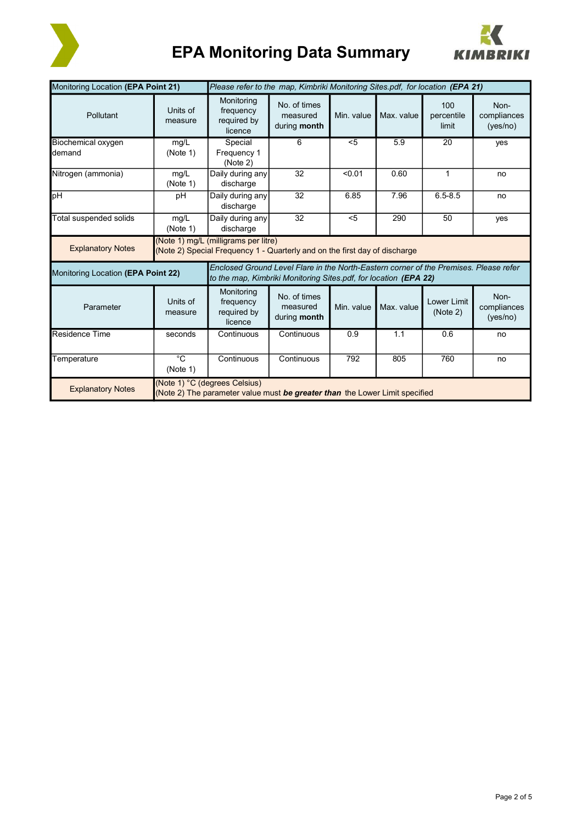

## **EPA Monitoring Data Summary**



| Monitoring Location (EPA Point 21)    | Please refer to the map, Kimbriki Monitoring Sites.pdf, for location (EPA 21)                                      |                                                                                                                                                           |                                          |            |            |                            |                                 |  |
|---------------------------------------|--------------------------------------------------------------------------------------------------------------------|-----------------------------------------------------------------------------------------------------------------------------------------------------------|------------------------------------------|------------|------------|----------------------------|---------------------------------|--|
| Pollutant                             | Units of<br>measure                                                                                                | Monitoring<br>frequency<br>required by<br>licence                                                                                                         | No. of times<br>measured<br>during month | Min. value | Max. value | 100<br>percentile<br>limit | Non-<br>compliances<br>(yes/no) |  |
| Biochemical oxygen<br><b>I</b> demand | mg/L<br>(Note 1)                                                                                                   | Special<br>Frequency 1<br>(Note 2)                                                                                                                        | 6                                        | $5$        | 5.9        | 20                         | yes                             |  |
| Nitrogen (ammonia)                    | mg/L<br>(Note 1)                                                                                                   | Daily during any<br>discharge                                                                                                                             | 32                                       | < 0.01     | 0.60       | $\mathbf{1}$               | no                              |  |
| pH                                    | pH                                                                                                                 | Daily during any<br>discharge                                                                                                                             | 32                                       | 6.85       | 7.96       | $6.5 - 8.5$                | no                              |  |
| Total suspended solids                | mg/L<br>(Note 1)                                                                                                   | Daily during any<br>discharge                                                                                                                             | 32                                       | $5$        | 290        | 50                         | yes                             |  |
| <b>Explanatory Notes</b>              | (Note 1) mg/L (milligrams per litre)<br>(Note 2) Special Frequency 1 - Quarterly and on the first day of discharge |                                                                                                                                                           |                                          |            |            |                            |                                 |  |
| Monitoring Location (EPA Point 22)    |                                                                                                                    | Enclosed Ground Level Flare in the North-Eastern corner of the Premises. Please refer<br>to the map. Kimbriki Monitoring Sites.pdf, for location (EPA 22) |                                          |            |            |                            |                                 |  |
| Parameter                             | Units of<br>measure                                                                                                | Monitoring<br>frequency<br>required by<br>licence                                                                                                         | No. of times<br>measured<br>during month | Min. value | Max. value | Lower Limit<br>(Note 2)    | Non-<br>compliances<br>(yes/no) |  |
| Residence Time                        | seconds                                                                                                            | Continuous                                                                                                                                                | Continuous                               | 0.9        | 1.1        | 0.6                        | no                              |  |
| Temperature                           | $^{\circ}C$<br>(Note 1)                                                                                            | Continuous                                                                                                                                                | Continuous                               | 792        | 805        | 760                        | no                              |  |
| <b>Explanatory Notes</b>              | (Note 1) °C (degrees Celsius)<br>(Note 2) The parameter value must be greater than the Lower Limit specified       |                                                                                                                                                           |                                          |            |            |                            |                                 |  |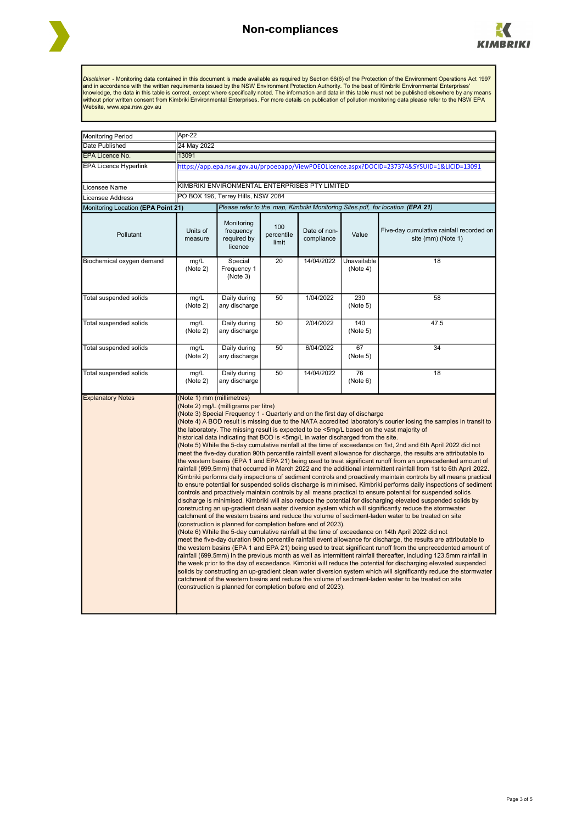



Disclaimer - Monitoring data contained in this document is made available as required by Section 66(6) of the Protection of the Environment Operations Act 1997<br>and in accordance with the written requirements issued by the

| <b>Monitoring Period</b>           | Apr-22                                                                                                                                                                                                                                                                                                                                                                                                                                                                                                                                                                                                                                                                                                                                                                                                                                                                                                                                                                                                                                                                                                                                                                                                                                                                                                                                                                                                                                                                                                                                                                                                                                                                                                                                                                                                                                                                                                                                                                                                                                                                                                                                                                                                                                                                                                                                                                                                                                                                                                                                                                        |                                                   |                            |                            |                         |                                                                |  |  |  |
|------------------------------------|-------------------------------------------------------------------------------------------------------------------------------------------------------------------------------------------------------------------------------------------------------------------------------------------------------------------------------------------------------------------------------------------------------------------------------------------------------------------------------------------------------------------------------------------------------------------------------------------------------------------------------------------------------------------------------------------------------------------------------------------------------------------------------------------------------------------------------------------------------------------------------------------------------------------------------------------------------------------------------------------------------------------------------------------------------------------------------------------------------------------------------------------------------------------------------------------------------------------------------------------------------------------------------------------------------------------------------------------------------------------------------------------------------------------------------------------------------------------------------------------------------------------------------------------------------------------------------------------------------------------------------------------------------------------------------------------------------------------------------------------------------------------------------------------------------------------------------------------------------------------------------------------------------------------------------------------------------------------------------------------------------------------------------------------------------------------------------------------------------------------------------------------------------------------------------------------------------------------------------------------------------------------------------------------------------------------------------------------------------------------------------------------------------------------------------------------------------------------------------------------------------------------------------------------------------------------------------|---------------------------------------------------|----------------------------|----------------------------|-------------------------|----------------------------------------------------------------|--|--|--|
| Date Published                     | 24 May 2022                                                                                                                                                                                                                                                                                                                                                                                                                                                                                                                                                                                                                                                                                                                                                                                                                                                                                                                                                                                                                                                                                                                                                                                                                                                                                                                                                                                                                                                                                                                                                                                                                                                                                                                                                                                                                                                                                                                                                                                                                                                                                                                                                                                                                                                                                                                                                                                                                                                                                                                                                                   |                                                   |                            |                            |                         |                                                                |  |  |  |
| EPA Licence No.                    | 13091                                                                                                                                                                                                                                                                                                                                                                                                                                                                                                                                                                                                                                                                                                                                                                                                                                                                                                                                                                                                                                                                                                                                                                                                                                                                                                                                                                                                                                                                                                                                                                                                                                                                                                                                                                                                                                                                                                                                                                                                                                                                                                                                                                                                                                                                                                                                                                                                                                                                                                                                                                         |                                                   |                            |                            |                         |                                                                |  |  |  |
| <b>EPA Licence Hyperlink</b>       | https://app.epa.nsw.gov.au/prpoeoapp/ViewPOEOLicence.aspx?DOCID=237374&SYSUID=1&LICID=13091                                                                                                                                                                                                                                                                                                                                                                                                                                                                                                                                                                                                                                                                                                                                                                                                                                                                                                                                                                                                                                                                                                                                                                                                                                                                                                                                                                                                                                                                                                                                                                                                                                                                                                                                                                                                                                                                                                                                                                                                                                                                                                                                                                                                                                                                                                                                                                                                                                                                                   |                                                   |                            |                            |                         |                                                                |  |  |  |
| Licensee Name                      | KIMBRIKI ENVIRONMENTAL ENTERPRISES PTY LIMITED                                                                                                                                                                                                                                                                                                                                                                                                                                                                                                                                                                                                                                                                                                                                                                                                                                                                                                                                                                                                                                                                                                                                                                                                                                                                                                                                                                                                                                                                                                                                                                                                                                                                                                                                                                                                                                                                                                                                                                                                                                                                                                                                                                                                                                                                                                                                                                                                                                                                                                                                |                                                   |                            |                            |                         |                                                                |  |  |  |
| Licensee Address                   | PO BOX 196, Terrey Hills, NSW 2084                                                                                                                                                                                                                                                                                                                                                                                                                                                                                                                                                                                                                                                                                                                                                                                                                                                                                                                                                                                                                                                                                                                                                                                                                                                                                                                                                                                                                                                                                                                                                                                                                                                                                                                                                                                                                                                                                                                                                                                                                                                                                                                                                                                                                                                                                                                                                                                                                                                                                                                                            |                                                   |                            |                            |                         |                                                                |  |  |  |
| Monitoring Location (EPA Point 21) | Please refer to the map, Kimbriki Monitoring Sites.pdf, for location (EPA 21)                                                                                                                                                                                                                                                                                                                                                                                                                                                                                                                                                                                                                                                                                                                                                                                                                                                                                                                                                                                                                                                                                                                                                                                                                                                                                                                                                                                                                                                                                                                                                                                                                                                                                                                                                                                                                                                                                                                                                                                                                                                                                                                                                                                                                                                                                                                                                                                                                                                                                                 |                                                   |                            |                            |                         |                                                                |  |  |  |
| Pollutant                          | Units of<br>measure                                                                                                                                                                                                                                                                                                                                                                                                                                                                                                                                                                                                                                                                                                                                                                                                                                                                                                                                                                                                                                                                                                                                                                                                                                                                                                                                                                                                                                                                                                                                                                                                                                                                                                                                                                                                                                                                                                                                                                                                                                                                                                                                                                                                                                                                                                                                                                                                                                                                                                                                                           | Monitoring<br>frequency<br>required by<br>licence | 100<br>percentile<br>limit | Date of non-<br>compliance | Value                   | Five-day cumulative rainfall recorded on<br>site (mm) (Note 1) |  |  |  |
| Biochemical oxygen demand          | mg/L<br>(Note 2)                                                                                                                                                                                                                                                                                                                                                                                                                                                                                                                                                                                                                                                                                                                                                                                                                                                                                                                                                                                                                                                                                                                                                                                                                                                                                                                                                                                                                                                                                                                                                                                                                                                                                                                                                                                                                                                                                                                                                                                                                                                                                                                                                                                                                                                                                                                                                                                                                                                                                                                                                              | Special<br>Frequency 1<br>(Note 3)                | $\overline{20}$            | 14/04/2022                 | Unavailable<br>(Note 4) | 18                                                             |  |  |  |
| Total suspended solids             | mg/L<br>(Note 2)                                                                                                                                                                                                                                                                                                                                                                                                                                                                                                                                                                                                                                                                                                                                                                                                                                                                                                                                                                                                                                                                                                                                                                                                                                                                                                                                                                                                                                                                                                                                                                                                                                                                                                                                                                                                                                                                                                                                                                                                                                                                                                                                                                                                                                                                                                                                                                                                                                                                                                                                                              | Daily during<br>any discharge                     | 50                         | 1/04/2022                  | 230<br>(Note 5)         | 58                                                             |  |  |  |
| Total suspended solids             | mg/L<br>(Note 2)                                                                                                                                                                                                                                                                                                                                                                                                                                                                                                                                                                                                                                                                                                                                                                                                                                                                                                                                                                                                                                                                                                                                                                                                                                                                                                                                                                                                                                                                                                                                                                                                                                                                                                                                                                                                                                                                                                                                                                                                                                                                                                                                                                                                                                                                                                                                                                                                                                                                                                                                                              | Daily during<br>any discharge                     | 50                         | 2/04/2022                  | 140<br>(Note 5)         | 47.5                                                           |  |  |  |
| Total suspended solids             | mg/L<br>(Note 2)                                                                                                                                                                                                                                                                                                                                                                                                                                                                                                                                                                                                                                                                                                                                                                                                                                                                                                                                                                                                                                                                                                                                                                                                                                                                                                                                                                                                                                                                                                                                                                                                                                                                                                                                                                                                                                                                                                                                                                                                                                                                                                                                                                                                                                                                                                                                                                                                                                                                                                                                                              | Daily during<br>any discharge                     | 50                         | 6/04/2022                  | 67<br>(Note 5)          | 34                                                             |  |  |  |
| Total suspended solids             | mq/L<br>(Note 2)                                                                                                                                                                                                                                                                                                                                                                                                                                                                                                                                                                                                                                                                                                                                                                                                                                                                                                                                                                                                                                                                                                                                                                                                                                                                                                                                                                                                                                                                                                                                                                                                                                                                                                                                                                                                                                                                                                                                                                                                                                                                                                                                                                                                                                                                                                                                                                                                                                                                                                                                                              | Daily during<br>any discharge                     | 50                         | 14/04/2022                 | 76<br>(Note 6)          | 18                                                             |  |  |  |
| <b>Explanatory Notes</b>           | (Note 1) mm (millimetres)<br>(Note 2) mg/L (milligrams per litre)<br>(Note 3) Special Frequency 1 - Quarterly and on the first day of discharge<br>(Note 4) A BOD result is missing due to the NATA accredited laboratory's courier losing the samples in transit to<br>the laboratory. The missing result is expected to be <5mg/L based on the vast majority of<br>historical data indicating that BOD is <5mg/L in water discharged from the site.<br>(Note 5) While the 5-day cumulative rainfall at the time of exceedance on 1st, 2nd and 6th April 2022 did not<br>meet the five-day duration 90th percentile rainfall event allowance for discharge, the results are attributable to<br>the western basins (EPA 1 and EPA 21) being used to treat significant runoff from an unprecedented amount of<br>rainfall (699.5mm) that occurred in March 2022 and the additional intermittent rainfall from 1st to 6th April 2022.<br>Kimbriki performs daily inspections of sediment controls and proactively maintain controls by all means practical<br>to ensure potential for suspended solids discharge is minimised. Kimbriki performs daily inspections of sediment<br>controls and proactively maintain controls by all means practical to ensure potential for suspended solids<br>discharge is minimised. Kimbriki will also reduce the potential for discharging elevated suspended solids by<br>constructing an up-gradient clean water diversion system which will significantly reduce the stormwater<br>catchment of the western basins and reduce the volume of sediment-laden water to be treated on site<br>(construction is planned for completion before end of 2023).<br>(Note 6) While the 5-day cumulative rainfall at the time of exceedance on 14th April 2022 did not<br>meet the five-day duration 90th percentile rainfall event allowance for discharge, the results are attributable to<br>the western basins (EPA 1 and EPA 21) being used to treat significant runoff from the unprecedented amount of<br>rainfall (699.5mm) in the previous month as well as intermittent rainfall thereafter, including 123.5mm rainfall in<br>the week prior to the day of exceedance. Kimbriki will reduce the potential for discharging elevated suspended<br>solids by constructing an up-gradient clean water diversion system which will significantly reduce the stormwater<br>catchment of the western basins and reduce the volume of sediment-laden water to be treated on site<br>(construction is planned for completion before end of 2023). |                                                   |                            |                            |                         |                                                                |  |  |  |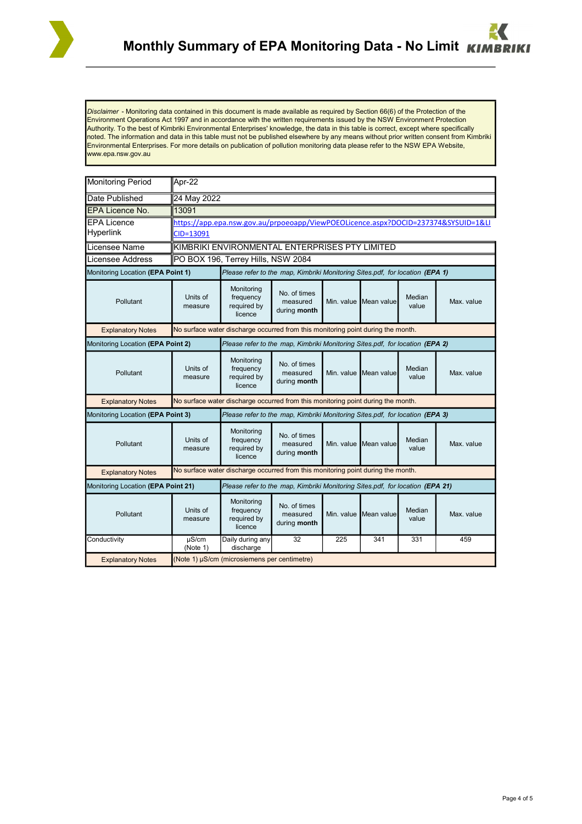

*Disclaimer* - Monitoring data contained in this document is made available as required by Section 66(6) of the Protection of the Environment Operations Act 1997 and in accordance with the written requirements issued by the NSW Environment Protection Authority. To the best of Kimbriki Environmental Enterprises' knowledge, the data in this table is correct, except where specifically noted. The information and data in this table must not be published elsewhere by any means without prior written consent from Kimbriki Environmental Enterprises. For more details on publication of pollution monitoring data please refer to the NSW EPA Website, www.epa.nsw.gov.au

| Monitoring Period                  | Apr-22                                                                             |                                                   |                                                          |  |                       |                 |            |  |  |
|------------------------------------|------------------------------------------------------------------------------------|---------------------------------------------------|----------------------------------------------------------|--|-----------------------|-----------------|------------|--|--|
| Date Published                     | 24 May 2022                                                                        |                                                   |                                                          |  |                       |                 |            |  |  |
| <b>EPA Licence No.</b>             | 13091                                                                              |                                                   |                                                          |  |                       |                 |            |  |  |
| <b>EPA Licence</b>                 | https://app.epa.nsw.gov.au/prpoeoapp/ViewPOEOLicence.aspx?DOCID=237374&SYSUID=1&LI |                                                   |                                                          |  |                       |                 |            |  |  |
| <b>Hyperlink</b>                   | CID=13091                                                                          |                                                   |                                                          |  |                       |                 |            |  |  |
| Licensee Name                      | KIMBRIKI ENVIRONMENTAL ENTERPRISES PTY LIMITED                                     |                                                   |                                                          |  |                       |                 |            |  |  |
| Licensee Address                   | PO BOX 196, Terrey Hills, NSW 2084                                                 |                                                   |                                                          |  |                       |                 |            |  |  |
| Monitoring Location (EPA Point 1)  | Please refer to the map, Kimbriki Monitoring Sites.pdf, for location (EPA 1)       |                                                   |                                                          |  |                       |                 |            |  |  |
| Pollutant                          | Units of<br>measure                                                                | Monitoring<br>frequency<br>required by<br>licence | No. of times<br>measured<br>Min. value I<br>during month |  | Mean value            | Median<br>value | Max. value |  |  |
| <b>Explanatory Notes</b>           | No surface water discharge occurred from this monitoring point during the month.   |                                                   |                                                          |  |                       |                 |            |  |  |
| Monitoring Location (EPA Point 2)  | Please refer to the map, Kimbriki Monitoring Sites.pdf, for location (EPA 2)       |                                                   |                                                          |  |                       |                 |            |  |  |
| Pollutant                          | Units of<br>measure                                                                | Monitoring<br>frequency<br>required by<br>licence | No. of times<br>measured<br>during month                 |  | Min. value Mean value | Median<br>value | Max. value |  |  |
| <b>Explanatory Notes</b>           | No surface water discharge occurred from this monitoring point during the month.   |                                                   |                                                          |  |                       |                 |            |  |  |
| Monitoring Location (EPA Point 3)  | Please refer to the map, Kimbriki Monitoring Sites.pdf, for location (EPA 3)       |                                                   |                                                          |  |                       |                 |            |  |  |
| Pollutant                          | Units of<br>measure                                                                | Monitoring<br>frequency<br>required by<br>licence | No. of times<br>measured<br>during month                 |  | Min. value Mean value | Median<br>value | Max. value |  |  |
| <b>Explanatory Notes</b>           | No surface water discharge occurred from this monitoring point during the month.   |                                                   |                                                          |  |                       |                 |            |  |  |
| Monitoring Location (EPA Point 21) | Please refer to the map, Kimbriki Monitoring Sites.pdf, for location (EPA 21)      |                                                   |                                                          |  |                       |                 |            |  |  |
| Pollutant                          | Units of<br>measure                                                                | Monitoring<br>frequency<br>required by<br>licence | No. of times<br>measured<br>during month                 |  | Min. value Mean value | Median<br>value | Max. value |  |  |
| Conductivity                       | $\mu$ S/cm<br>(Note 1)                                                             | Daily during any<br>discharge                     | 32<br>225<br>341<br>331<br>459                           |  |                       |                 |            |  |  |
| <b>Explanatory Notes</b>           | (Note 1) µS/cm (microsiemens per centimetre)                                       |                                                   |                                                          |  |                       |                 |            |  |  |